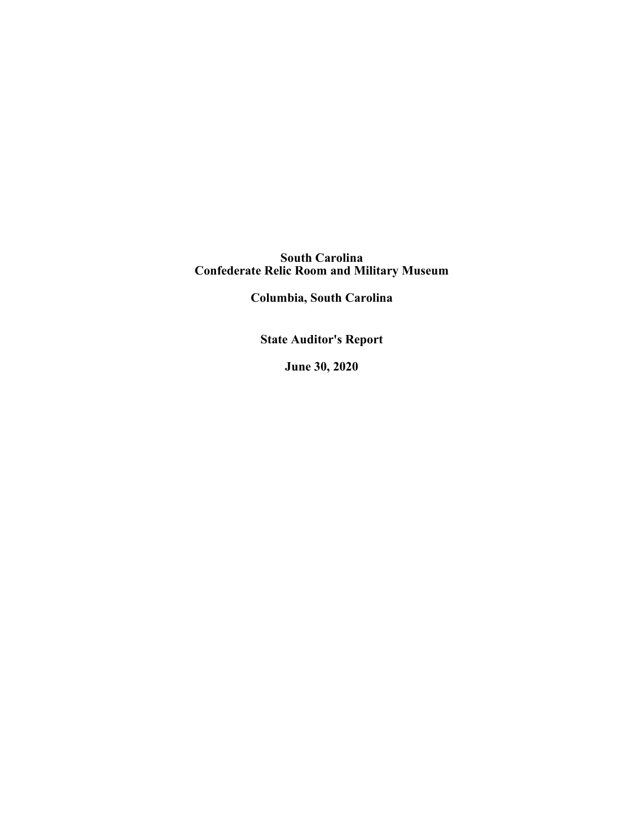**South Carolina Confederate Relic Room and Military Museum**

**Columbia, South Carolina**

**State Auditor's Report**

**June 30, 2020**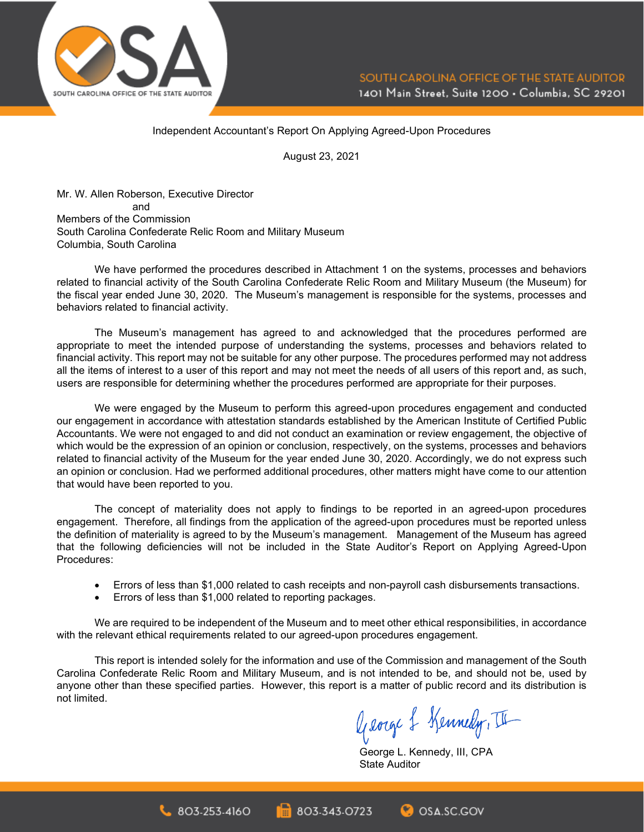

Independent Accountant's Report On Applying Agreed-Upon Procedures

August 23, 2021

Mr. W. Allen Roberson, Executive Director and Members of the Commission South Carolina Confederate Relic Room and Military Museum Columbia, South Carolina

We have performed the procedures described in Attachment 1 on the systems, processes and behaviors related to financial activity of the South Carolina Confederate Relic Room and Military Museum (the Museum) for the fiscal year ended June 30, 2020. The Museum's management is responsible for the systems, processes and behaviors related to financial activity.

The Museum's management has agreed to and acknowledged that the procedures performed are appropriate to meet the intended purpose of understanding the systems, processes and behaviors related to financial activity. This report may not be suitable for any other purpose. The procedures performed may not address all the items of interest to a user of this report and may not meet the needs of all users of this report and, as such, users are responsible for determining whether the procedures performed are appropriate for their purposes.

We were engaged by the Museum to perform this agreed-upon procedures engagement and conducted our engagement in accordance with attestation standards established by the American Institute of Certified Public Accountants. We were not engaged to and did not conduct an examination or review engagement, the objective of which would be the expression of an opinion or conclusion, respectively, on the systems, processes and behaviors related to financial activity of the Museum for the year ended June 30, 2020. Accordingly, we do not express such an opinion or conclusion. Had we performed additional procedures, other matters might have come to our attention that would have been reported to you.

The concept of materiality does not apply to findings to be reported in an agreed-upon procedures engagement. Therefore, all findings from the application of the agreed-upon procedures must be reported unless the definition of materiality is agreed to by the Museum's management. Management of the Museum has agreed that the following deficiencies will not be included in the State Auditor's Report on Applying Agreed-Upon Procedures:

- Errors of less than \$1,000 related to cash receipts and non-payroll cash disbursements transactions.
- Errors of less than \$1,000 related to reporting packages.

We are required to be independent of the Museum and to meet other ethical responsibilities, in accordance with the relevant ethical requirements related to our agreed-upon procedures engagement.

This report is intended solely for the information and use of the Commission and management of the South Carolina Confederate Relic Room and Military Museum, and is not intended to be, and should not be, used by anyone other than these specified parties. However, this report is a matter of public record and its distribution is not limited.

George & Kennedy, II

George L. Kennedy, III, CPA State Auditor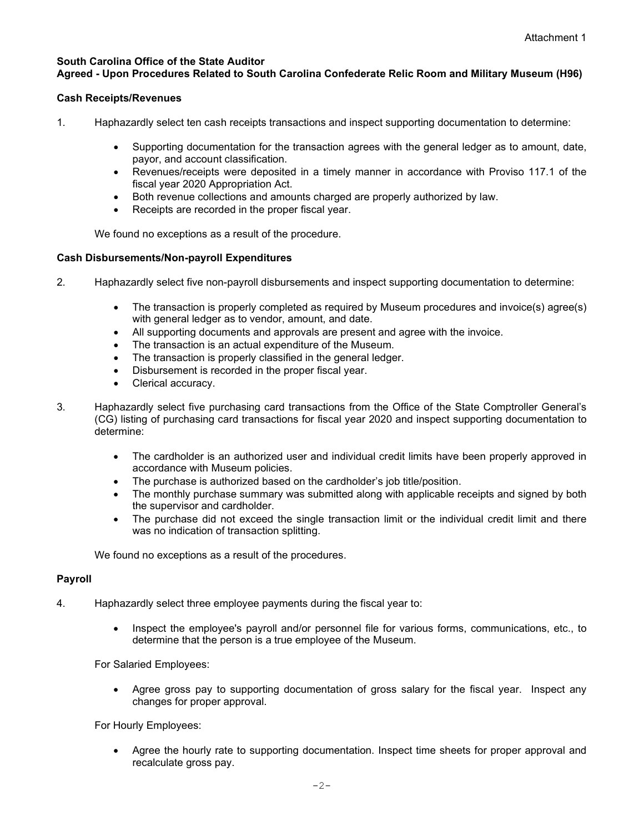# **South Carolina Office of the State Auditor**

# **Agreed - Upon Procedures Related to South Carolina Confederate Relic Room and Military Museum (H96)**

# **Cash Receipts/Revenues**

- 1. Haphazardly select ten cash receipts transactions and inspect supporting documentation to determine:
	- Supporting documentation for the transaction agrees with the general ledger as to amount, date, payor, and account classification.
	- Revenues/receipts were deposited in a timely manner in accordance with Proviso 117.1 of the fiscal year 2020 Appropriation Act.
	- Both revenue collections and amounts charged are properly authorized by law.
	- Receipts are recorded in the proper fiscal year.

We found no exceptions as a result of the procedure.

# **Cash Disbursements/Non-payroll Expenditures**

- 2. Haphazardly select five non-payroll disbursements and inspect supporting documentation to determine:
	- The transaction is properly completed as required by Museum procedures and invoice(s) agree(s) with general ledger as to vendor, amount, and date.
	- All supporting documents and approvals are present and agree with the invoice.
	- The transaction is an actual expenditure of the Museum.
	- The transaction is properly classified in the general ledger.
	- Disbursement is recorded in the proper fiscal year.
	- Clerical accuracy.
- 3. Haphazardly select five purchasing card transactions from the Office of the State Comptroller General's (CG) listing of purchasing card transactions for fiscal year 2020 and inspect supporting documentation to determine:
	- The cardholder is an authorized user and individual credit limits have been properly approved in accordance with Museum policies.
	- The purchase is authorized based on the cardholder's job title/position.
	- The monthly purchase summary was submitted along with applicable receipts and signed by both the supervisor and cardholder.
	- The purchase did not exceed the single transaction limit or the individual credit limit and there was no indication of transaction splitting.

We found no exceptions as a result of the procedures.

# **Payroll**

- 4. Haphazardly select three employee payments during the fiscal year to:
	- Inspect the employee's payroll and/or personnel file for various forms, communications, etc., to determine that the person is a true employee of the Museum.

For Salaried Employees:

• Agree gross pay to supporting documentation of gross salary for the fiscal year. Inspect any changes for proper approval.

For Hourly Employees:

• Agree the hourly rate to supporting documentation. Inspect time sheets for proper approval and recalculate gross pay.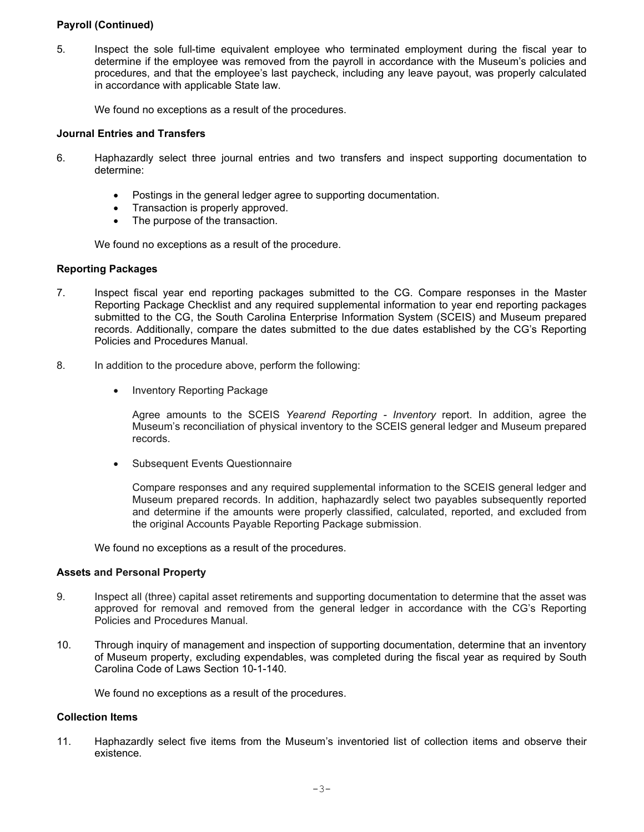# **Payroll (Continued)**

5. Inspect the sole full-time equivalent employee who terminated employment during the fiscal year to determine if the employee was removed from the payroll in accordance with the Museum's policies and procedures, and that the employee's last paycheck, including any leave payout, was properly calculated in accordance with applicable State law.

We found no exceptions as a result of the procedures.

## **Journal Entries and Transfers**

- 6. Haphazardly select three journal entries and two transfers and inspect supporting documentation to determine:
	- Postings in the general ledger agree to supporting documentation.
	- Transaction is properly approved.
	- The purpose of the transaction.

We found no exceptions as a result of the procedure.

#### **Reporting Packages**

- 7. Inspect fiscal year end reporting packages submitted to the CG. Compare responses in the Master Reporting Package Checklist and any required supplemental information to year end reporting packages submitted to the CG, the South Carolina Enterprise Information System (SCEIS) and Museum prepared records. Additionally, compare the dates submitted to the due dates established by the CG's Reporting Policies and Procedures Manual.
- 8. In addition to the procedure above, perform the following:
	- Inventory Reporting Package

Agree amounts to the SCEIS *Yearend Reporting - Inventory* report. In addition, agree the Museum's reconciliation of physical inventory to the SCEIS general ledger and Museum prepared records.

• Subsequent Events Questionnaire

Compare responses and any required supplemental information to the SCEIS general ledger and Museum prepared records. In addition, haphazardly select two payables subsequently reported and determine if the amounts were properly classified, calculated, reported, and excluded from the original Accounts Payable Reporting Package submission.

We found no exceptions as a result of the procedures.

#### **Assets and Personal Property**

- 9. Inspect all (three) capital asset retirements and supporting documentation to determine that the asset was approved for removal and removed from the general ledger in accordance with the CG's Reporting Policies and Procedures Manual.
- 10. Through inquiry of management and inspection of supporting documentation, determine that an inventory of Museum property, excluding expendables, was completed during the fiscal year as required by South Carolina Code of Laws Section 10-1-140.

We found no exceptions as a result of the procedures.

# **Collection Items**

11. Haphazardly select five items from the Museum's inventoried list of collection items and observe their existence.